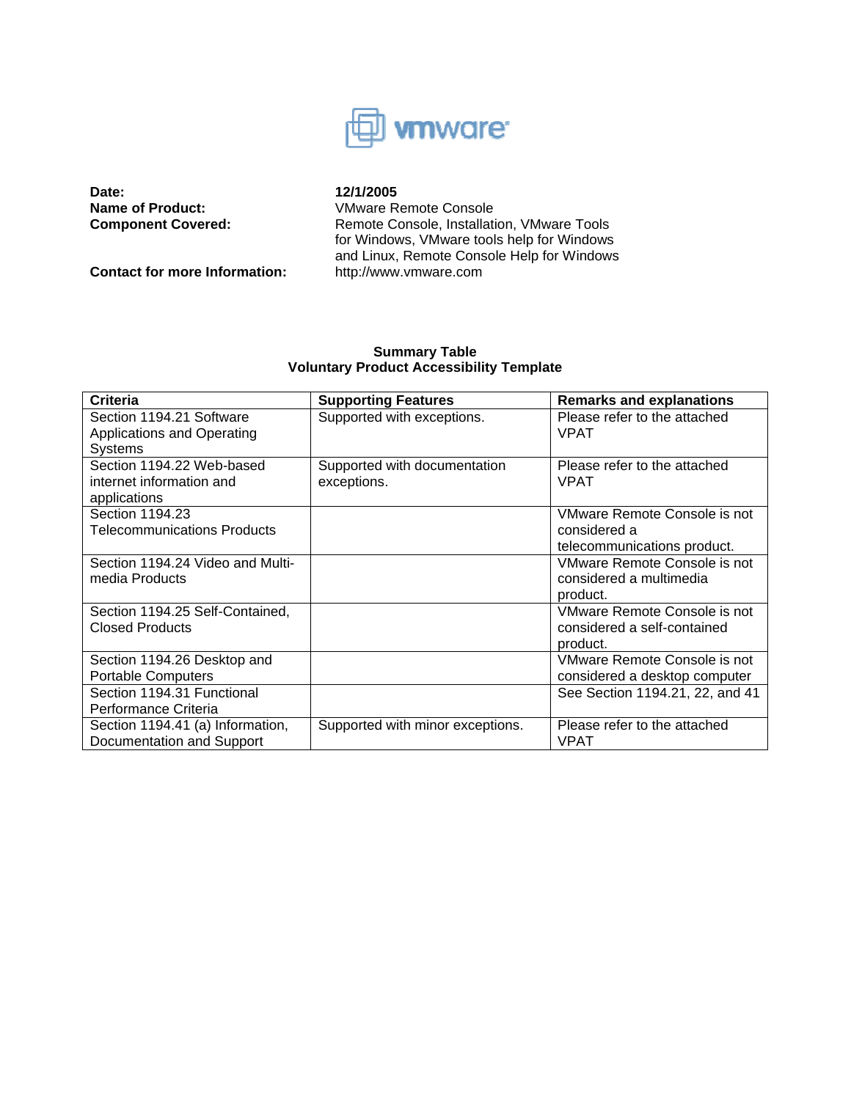

**Date:** 12/1/2005<br> **Name of Product:** Mame R

**Contact for more Information:** http://www.vmware.com

**Name of Product:** VMware Remote Console<br> **Component Covered:** Remote Console, Installati Remote Console, Installation, VMware Tools for Windows, VMware tools help for Windows and Linux, Remote Console Help for Windows

# **Summary Table Voluntary Product Accessibility Template**

| <b>Criteria</b>                  | <b>Supporting Features</b>       | <b>Remarks and explanations</b> |
|----------------------------------|----------------------------------|---------------------------------|
| Section 1194.21 Software         | Supported with exceptions.       | Please refer to the attached    |
| Applications and Operating       |                                  | <b>VPAT</b>                     |
| <b>Systems</b>                   |                                  |                                 |
| Section 1194.22 Web-based        | Supported with documentation     | Please refer to the attached    |
| internet information and         | exceptions.                      | <b>VPAT</b>                     |
| applications                     |                                  |                                 |
| Section 1194.23                  |                                  | VMware Remote Console is not    |
| Telecommunications Products      |                                  | considered a                    |
|                                  |                                  | telecommunications product.     |
| Section 1194.24 Video and Multi- |                                  | VMware Remote Console is not    |
| media Products                   |                                  | considered a multimedia         |
|                                  |                                  | product.                        |
| Section 1194.25 Self-Contained,  |                                  | VMware Remote Console is not    |
| <b>Closed Products</b>           |                                  | considered a self-contained     |
|                                  |                                  | product.                        |
| Section 1194.26 Desktop and      |                                  | VMware Remote Console is not    |
| <b>Portable Computers</b>        |                                  | considered a desktop computer   |
| Section 1194.31 Functional       |                                  | See Section 1194.21, 22, and 41 |
| Performance Criteria             |                                  |                                 |
| Section 1194.41 (a) Information, | Supported with minor exceptions. | Please refer to the attached    |
| Documentation and Support        |                                  | <b>VPAT</b>                     |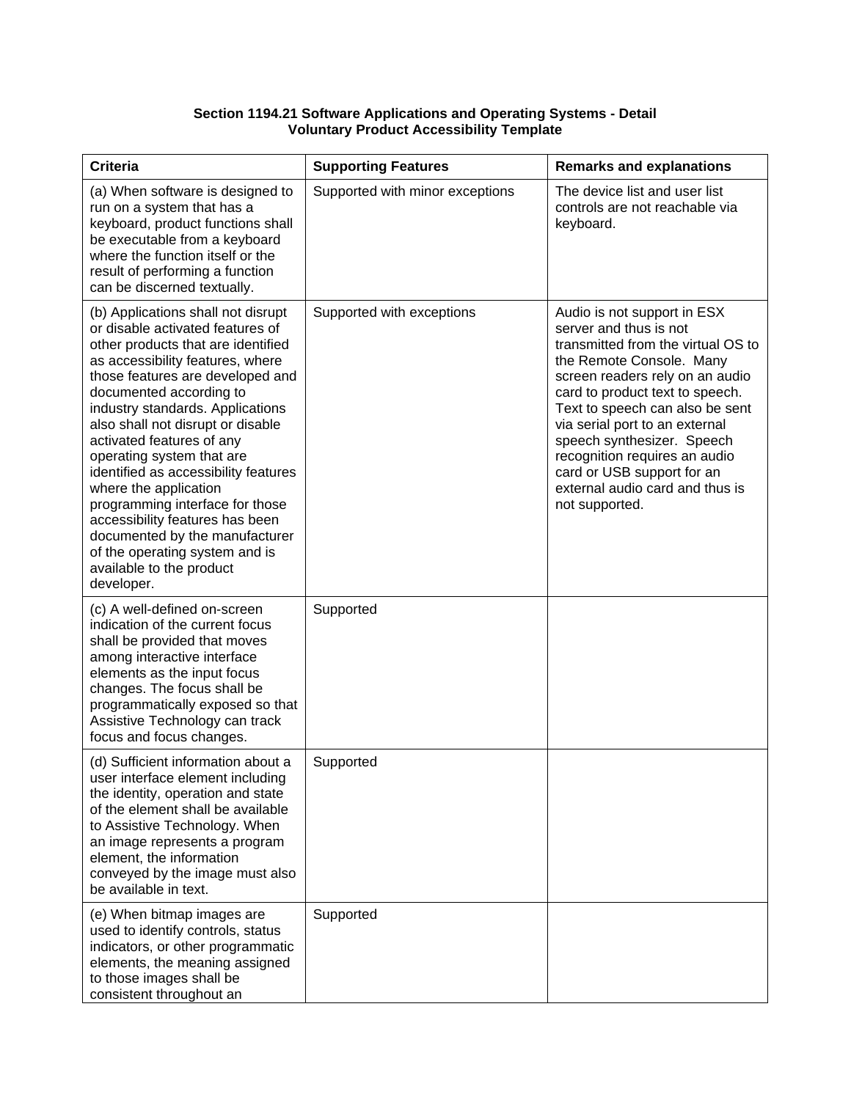## **Section 1194.21 Software Applications and Operating Systems - Detail Voluntary Product Accessibility Template**

| <b>Criteria</b>                                                                                                                                                                                                                                                                                                                                                                                                                                                                                                                                                                                         | <b>Supporting Features</b>      | <b>Remarks and explanations</b>                                                                                                                                                                                                                                                                                                                                                                                      |
|---------------------------------------------------------------------------------------------------------------------------------------------------------------------------------------------------------------------------------------------------------------------------------------------------------------------------------------------------------------------------------------------------------------------------------------------------------------------------------------------------------------------------------------------------------------------------------------------------------|---------------------------------|----------------------------------------------------------------------------------------------------------------------------------------------------------------------------------------------------------------------------------------------------------------------------------------------------------------------------------------------------------------------------------------------------------------------|
| (a) When software is designed to<br>run on a system that has a<br>keyboard, product functions shall<br>be executable from a keyboard<br>where the function itself or the<br>result of performing a function<br>can be discerned textually.                                                                                                                                                                                                                                                                                                                                                              | Supported with minor exceptions | The device list and user list<br>controls are not reachable via<br>keyboard.                                                                                                                                                                                                                                                                                                                                         |
| (b) Applications shall not disrupt<br>or disable activated features of<br>other products that are identified<br>as accessibility features, where<br>those features are developed and<br>documented according to<br>industry standards. Applications<br>also shall not disrupt or disable<br>activated features of any<br>operating system that are<br>identified as accessibility features<br>where the application<br>programming interface for those<br>accessibility features has been<br>documented by the manufacturer<br>of the operating system and is<br>available to the product<br>developer. | Supported with exceptions       | Audio is not support in ESX<br>server and thus is not<br>transmitted from the virtual OS to<br>the Remote Console. Many<br>screen readers rely on an audio<br>card to product text to speech.<br>Text to speech can also be sent<br>via serial port to an external<br>speech synthesizer. Speech<br>recognition requires an audio<br>card or USB support for an<br>external audio card and thus is<br>not supported. |
| (c) A well-defined on-screen<br>indication of the current focus<br>shall be provided that moves<br>among interactive interface<br>elements as the input focus<br>changes. The focus shall be<br>programmatically exposed so that<br>Assistive Technology can track<br>focus and focus changes.                                                                                                                                                                                                                                                                                                          | Supported                       |                                                                                                                                                                                                                                                                                                                                                                                                                      |
| (d) Sufficient information about a<br>user interface element including<br>the identity, operation and state<br>of the element shall be available<br>to Assistive Technology. When<br>an image represents a program<br>element, the information<br>conveyed by the image must also<br>be available in text.                                                                                                                                                                                                                                                                                              | Supported                       |                                                                                                                                                                                                                                                                                                                                                                                                                      |
| (e) When bitmap images are<br>used to identify controls, status<br>indicators, or other programmatic<br>elements, the meaning assigned<br>to those images shall be<br>consistent throughout an                                                                                                                                                                                                                                                                                                                                                                                                          | Supported                       |                                                                                                                                                                                                                                                                                                                                                                                                                      |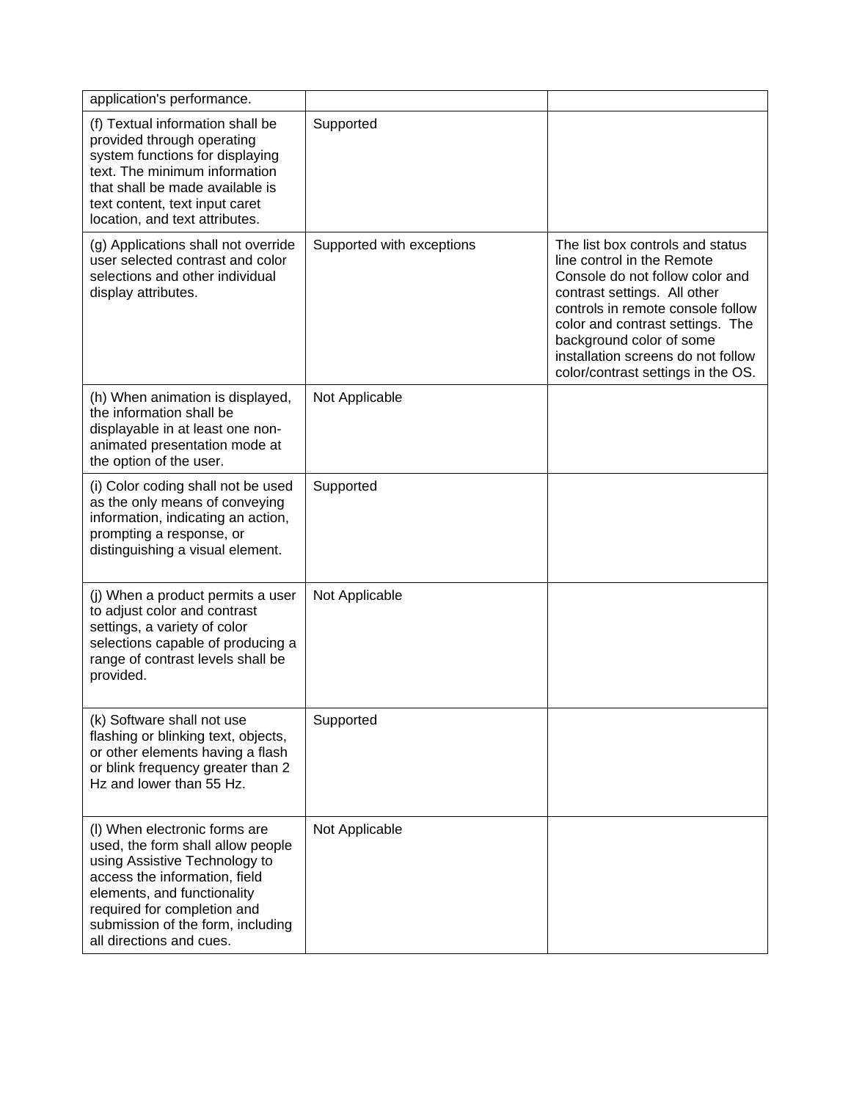| application's performance.                                                                                                                                                                                                                                          |                           |                                                                                                                                                                                                                                                                                                                    |
|---------------------------------------------------------------------------------------------------------------------------------------------------------------------------------------------------------------------------------------------------------------------|---------------------------|--------------------------------------------------------------------------------------------------------------------------------------------------------------------------------------------------------------------------------------------------------------------------------------------------------------------|
| (f) Textual information shall be<br>provided through operating<br>system functions for displaying<br>text. The minimum information<br>that shall be made available is<br>text content, text input caret<br>location, and text attributes.                           | Supported                 |                                                                                                                                                                                                                                                                                                                    |
| (g) Applications shall not override<br>user selected contrast and color<br>selections and other individual<br>display attributes.                                                                                                                                   | Supported with exceptions | The list box controls and status<br>line control in the Remote<br>Console do not follow color and<br>contrast settings. All other<br>controls in remote console follow<br>color and contrast settings. The<br>background color of some<br>installation screens do not follow<br>color/contrast settings in the OS. |
| (h) When animation is displayed,<br>the information shall be<br>displayable in at least one non-<br>animated presentation mode at<br>the option of the user.                                                                                                        | Not Applicable            |                                                                                                                                                                                                                                                                                                                    |
| (i) Color coding shall not be used<br>as the only means of conveying<br>information, indicating an action,<br>prompting a response, or<br>distinguishing a visual element.                                                                                          | Supported                 |                                                                                                                                                                                                                                                                                                                    |
| (j) When a product permits a user<br>to adjust color and contrast<br>settings, a variety of color<br>selections capable of producing a<br>range of contrast levels shall be<br>provided.                                                                            | Not Applicable            |                                                                                                                                                                                                                                                                                                                    |
| (k) Software shall not use<br>flashing or blinking text, objects,<br>or other elements having a flash<br>or blink frequency greater than 2<br>Hz and lower than 55 Hz.                                                                                              | Supported                 |                                                                                                                                                                                                                                                                                                                    |
| (I) When electronic forms are<br>used, the form shall allow people<br>using Assistive Technology to<br>access the information, field<br>elements, and functionality<br>required for completion and<br>submission of the form, including<br>all directions and cues. | Not Applicable            |                                                                                                                                                                                                                                                                                                                    |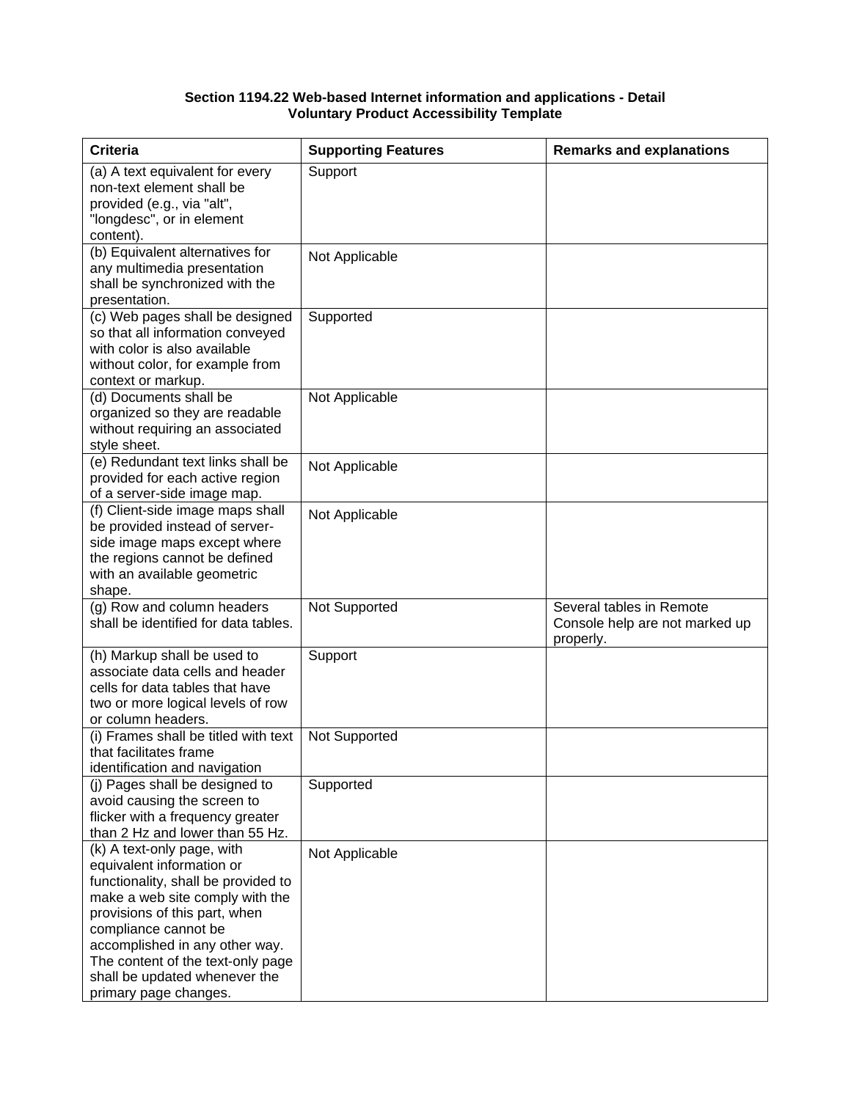#### **Section 1194.22 Web-based Internet information and applications - Detail Voluntary Product Accessibility Template**

| <b>Criteria</b>                                                                                                                                                                                                                                                                                                             | <b>Supporting Features</b> | <b>Remarks and explanations</b>                                         |
|-----------------------------------------------------------------------------------------------------------------------------------------------------------------------------------------------------------------------------------------------------------------------------------------------------------------------------|----------------------------|-------------------------------------------------------------------------|
| (a) A text equivalent for every<br>non-text element shall be<br>provided (e.g., via "alt",<br>"longdesc", or in element<br>content).                                                                                                                                                                                        | Support                    |                                                                         |
| (b) Equivalent alternatives for<br>any multimedia presentation<br>shall be synchronized with the<br>presentation.                                                                                                                                                                                                           | Not Applicable             |                                                                         |
| (c) Web pages shall be designed<br>so that all information conveyed<br>with color is also available<br>without color, for example from<br>context or markup.                                                                                                                                                                | Supported                  |                                                                         |
| (d) Documents shall be<br>organized so they are readable<br>without requiring an associated<br>style sheet.                                                                                                                                                                                                                 | Not Applicable             |                                                                         |
| (e) Redundant text links shall be<br>provided for each active region<br>of a server-side image map.                                                                                                                                                                                                                         | Not Applicable             |                                                                         |
| (f) Client-side image maps shall<br>be provided instead of server-<br>side image maps except where<br>the regions cannot be defined<br>with an available geometric<br>shape.                                                                                                                                                | Not Applicable             |                                                                         |
| (g) Row and column headers<br>shall be identified for data tables.                                                                                                                                                                                                                                                          | Not Supported              | Several tables in Remote<br>Console help are not marked up<br>properly. |
| (h) Markup shall be used to<br>associate data cells and header<br>cells for data tables that have<br>two or more logical levels of row<br>or column headers.                                                                                                                                                                | Support                    |                                                                         |
| (i) Frames shall be titled with text<br>that facilitates frame<br>identification and navigation                                                                                                                                                                                                                             | Not Supported              |                                                                         |
| (i) Pages shall be designed to<br>avoid causing the screen to<br>flicker with a frequency greater<br>than 2 Hz and lower than 55 Hz.                                                                                                                                                                                        | Supported                  |                                                                         |
| (k) A text-only page, with<br>equivalent information or<br>functionality, shall be provided to<br>make a web site comply with the<br>provisions of this part, when<br>compliance cannot be<br>accomplished in any other way.<br>The content of the text-only page<br>shall be updated whenever the<br>primary page changes. | Not Applicable             |                                                                         |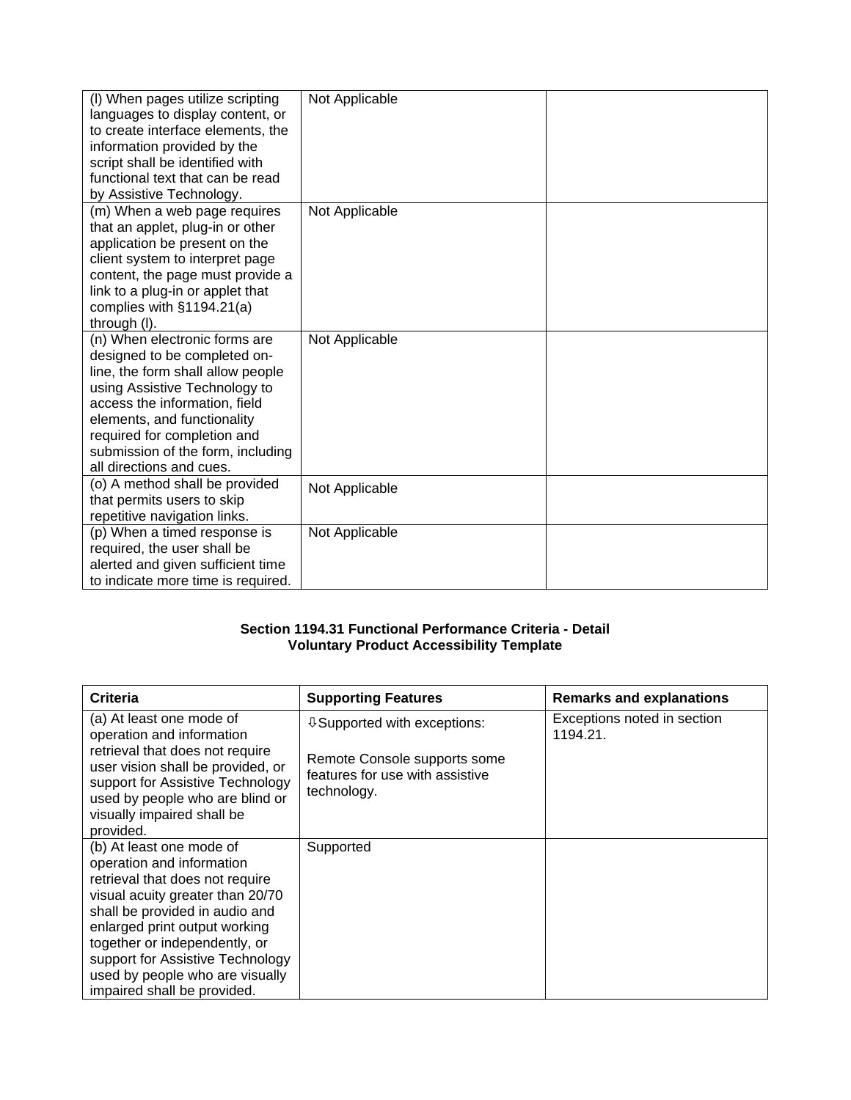| (I) When pages utilize scripting<br>languages to display content, or<br>to create interface elements, the<br>information provided by the<br>script shall be identified with<br>functional text that can be read<br>by Assistive Technology.                                                         | Not Applicable |  |
|-----------------------------------------------------------------------------------------------------------------------------------------------------------------------------------------------------------------------------------------------------------------------------------------------------|----------------|--|
| (m) When a web page requires<br>that an applet, plug-in or other<br>application be present on the<br>client system to interpret page<br>content, the page must provide a<br>link to a plug-in or applet that<br>complies with §1194.21(a)<br>through (I).                                           | Not Applicable |  |
| (n) When electronic forms are<br>designed to be completed on-<br>line, the form shall allow people<br>using Assistive Technology to<br>access the information, field<br>elements, and functionality<br>required for completion and<br>submission of the form, including<br>all directions and cues. | Not Applicable |  |
| (o) A method shall be provided<br>that permits users to skip<br>repetitive navigation links.                                                                                                                                                                                                        | Not Applicable |  |
| (p) When a timed response is<br>required, the user shall be<br>alerted and given sufficient time<br>to indicate more time is required.                                                                                                                                                              | Not Applicable |  |

# **Section 1194.31 Functional Performance Criteria - Detail Voluntary Product Accessibility Template**

| Criteria                                                                                                                                                                                                                                                                                                                               | <b>Supporting Features</b>                                                                                              | <b>Remarks and explanations</b>         |
|----------------------------------------------------------------------------------------------------------------------------------------------------------------------------------------------------------------------------------------------------------------------------------------------------------------------------------------|-------------------------------------------------------------------------------------------------------------------------|-----------------------------------------|
| (a) At least one mode of<br>operation and information<br>retrieval that does not require<br>user vision shall be provided, or<br>support for Assistive Technology<br>used by people who are blind or<br>visually impaired shall be<br>provided.                                                                                        | $\sqrt{0}$ Supported with exceptions:<br>Remote Console supports some<br>features for use with assistive<br>technology. | Exceptions noted in section<br>1194.21. |
| (b) At least one mode of<br>operation and information<br>retrieval that does not require<br>visual acuity greater than 20/70<br>shall be provided in audio and<br>enlarged print output working<br>together or independently, or<br>support for Assistive Technology<br>used by people who are visually<br>impaired shall be provided. | Supported                                                                                                               |                                         |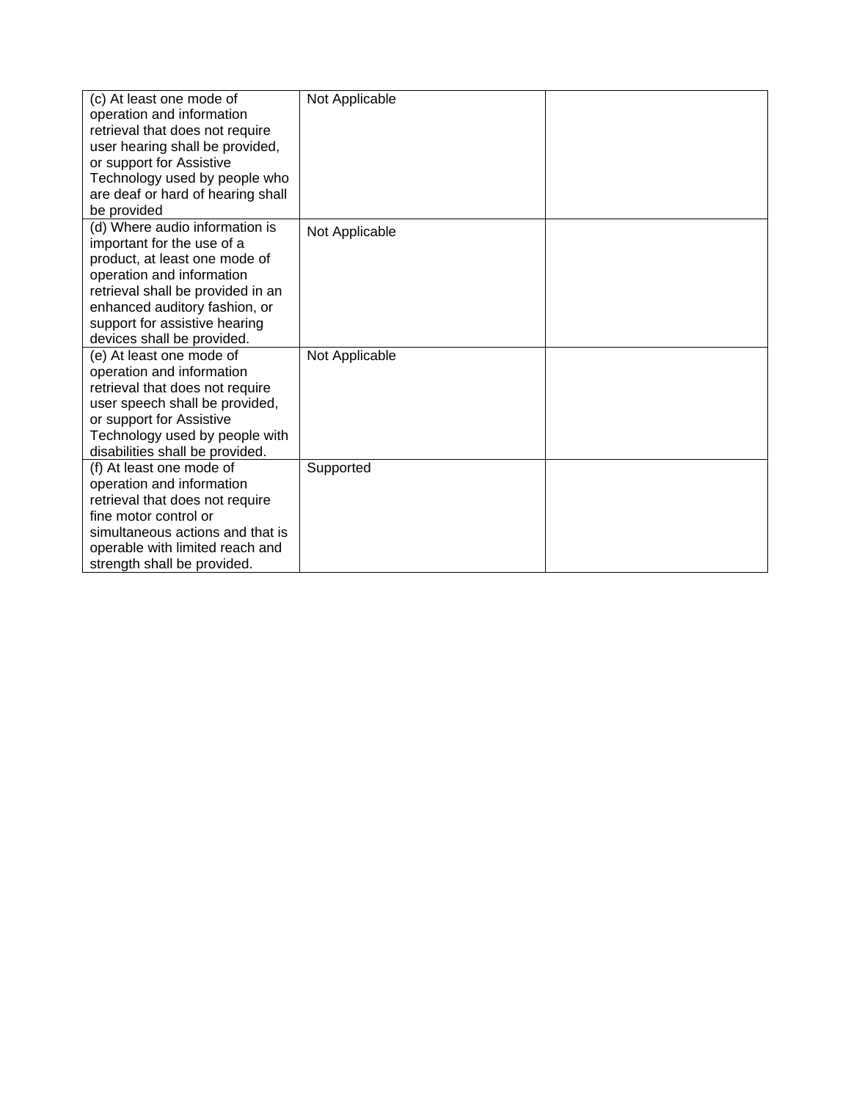| (c) At least one mode of<br>operation and information<br>retrieval that does not require<br>user hearing shall be provided,<br>or support for Assistive<br>Technology used by people who<br>are deaf or hard of hearing shall<br>be provided                    | Not Applicable |  |
|-----------------------------------------------------------------------------------------------------------------------------------------------------------------------------------------------------------------------------------------------------------------|----------------|--|
| (d) Where audio information is<br>important for the use of a<br>product, at least one mode of<br>operation and information<br>retrieval shall be provided in an<br>enhanced auditory fashion, or<br>support for assistive hearing<br>devices shall be provided. | Not Applicable |  |
| (e) At least one mode of<br>operation and information<br>retrieval that does not require<br>user speech shall be provided,<br>or support for Assistive<br>Technology used by people with<br>disabilities shall be provided.                                     | Not Applicable |  |
| (f) At least one mode of<br>operation and information<br>retrieval that does not require<br>fine motor control or<br>simultaneous actions and that is<br>operable with limited reach and<br>strength shall be provided.                                         | Supported      |  |